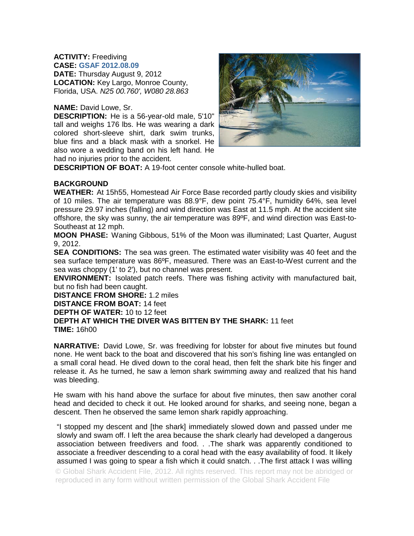## **ACTIVITY:** Freediving

**CASE: GSAF 2012.08.09 DATE:** Thursday August 9, 2012 **LOCATION:** Key Largo, Monroe County, Florida, USA. *N25 00.760', W080 28.863*

## **NAME:** David Lowe, Sr.

**DESCRIPTION:** He is a 56-year-old male, 5'10" tall and weighs 176 lbs. He was wearing a dark colored short-sleeve shirt, dark swim trunks, blue fins and a black mask with a snorkel. He also wore a wedding band on his left hand. He had no injuries prior to the accident.



**DESCRIPTION OF BOAT:** A 19-foot center console white-hulled boat.

## **BACKGROUND**

**WEATHER:** At 15h55, Homestead Air Force Base recorded partly cloudy skies and visibility of 10 miles. The air temperature was 88.9°F, dew point 75.4°F, humidity 64%, sea level pressure 29.97 inches (falling) and wind direction was East at 11.5 mph. At the accident site offshore, the sky was sunny, the air temperature was 89ºF, and wind direction was East-to-Southeast at 12 mph.

**MOON PHASE:** Waning Gibbous, 51% of the Moon was illuminated; Last Quarter, August 9, 2012.

**SEA CONDITIONS:** The sea was green. The estimated water visibility was 40 feet and the sea surface temperature was 86ºF, measured. There was an East-to-West current and the sea was choppy (1' to 2'), but no channel was present.

**ENVIRONMENT:** Isolated patch reefs. There was fishing activity with manufactured bait, but no fish had been caught.

**DISTANCE FROM SHORE:** 1.2 miles

**DISTANCE FROM BOAT:** 14 feet

**DEPTH OF WATER:** 10 to 12 feet

**DEPTH AT WHICH THE DIVER WAS BITTEN BY THE SHARK:** 11 feet **TIME:** 16h00

**NARRATIVE:** David Lowe, Sr. was freediving for lobster for about five minutes but found none. He went back to the boat and discovered that his son's fishing line was entangled on a small coral head. He dived down to the coral head, then felt the shark bite his finger and release it. As he turned, he saw a lemon shark swimming away and realized that his hand was bleeding.

He swam with his hand above the surface for about five minutes, then saw another coral head and decided to check it out. He looked around for sharks, and seeing none, began a descent. Then he observed the same lemon shark rapidly approaching.

"I stopped my descent and [the shark] immediately slowed down and passed under me slowly and swam off. I left the area because the shark clearly had developed a dangerous association between freedivers and food. . .The shark was apparently conditioned to associate a freediver descending to a coral head with the easy availability of food. It likely assumed I was going to spear a fish which it could snatch. . .The first attack I was willing

© Global Shark Accident File, 2012. All rights reserved. This report may not be abridged or reproduced in any form without written permission of the Global Shark Accident File